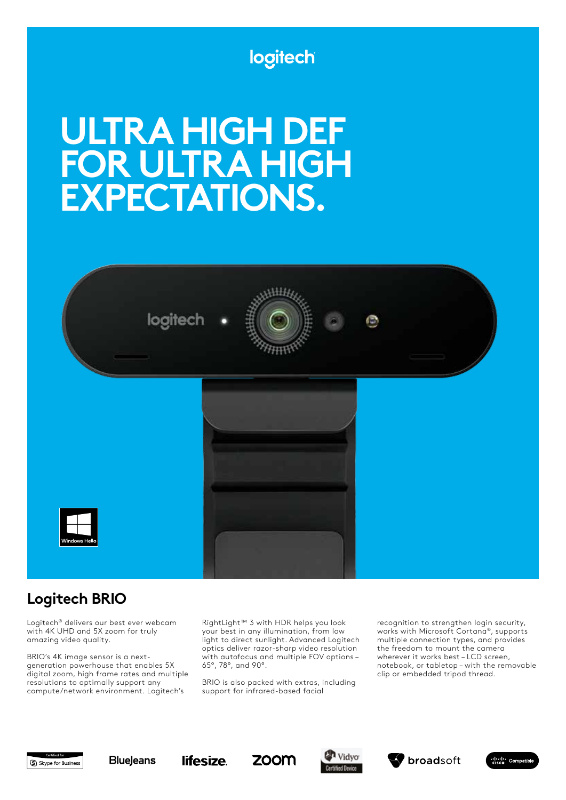# logitech

# **ULTRA HIGH DEF FOR ULTRA HIGH EXPECTATIONS.**



# **Logitech BRIO**

Logitech® delivers our best ever webcam with 4K UHD and 5X zoom for truly amazing video quality.

BRIO's 4K image sensor is a nextgeneration powerhouse that enables 5X digital zoom, high frame rates and multiple resolutions to optimally support any compute/network environment. Logitech's

RightLight™ 3 with HDR helps you look your best in any illumination, from low light to direct sunlight. Advanced Logitech optics deliver razor-sharp video resolution with autofocus and multiple FOV options – 65°, 78°, and 90°.

BRIO is also packed with extras, including support for infrared-based facial

recognition to strengthen login security, works with Microsoft Cortana®, supports multiple connection types, and provides the freedom to mount the camera wherever it works best – LCD screen, notebook, or tabletop – with the removable clip or embedded tripod thread.